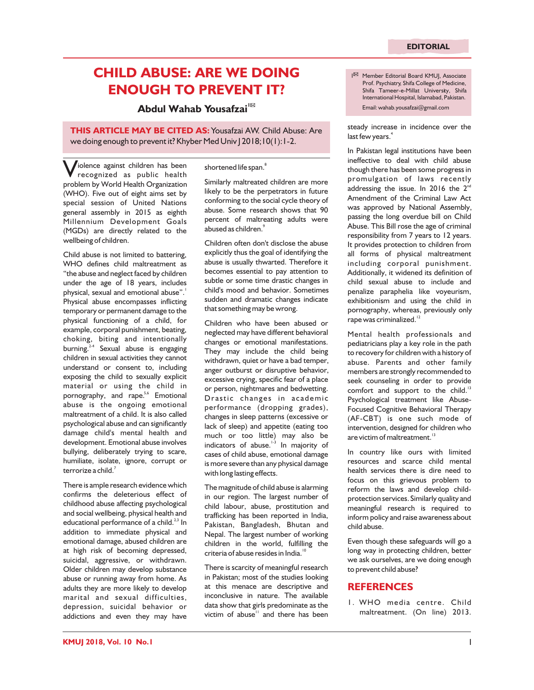## **CHILD ABUSE: ARE WE DOING ENOUGH TO PREVENT IT?**

## Email: wahab.yousafzai@gmail.com **<sup>1</sup> Abdul Wahab Yousafzai**

**THIS ARTICLE MAY BE CITED AS:** Yousafzai AW. Child Abuse: Are we doing enough to prevent it? Khyber Med Univ | 2018;10(1):1-2.

iolence against children has been<br>
recognized as public health problem by World Health Organization (WHO). Five out of eight aims set by special session of United Nations general assembly in 2015 as eighth Millennium Development Goals (MGDs) are directly related to the wellbeing of children.

Child abuse is not limited to battering, WHO defines child maltreatment as "the abuse and neglect faced by children under the age of 18 years, includes physical, sexual and emotional abuse".<sup>1</sup> Physical abuse encompasses inflicting temporary or permanent damage to the physical functioning of a child, for example, corporal punishment, beating, choking, biting and intentionally burning. $24$  Sexual abuse is engaging children in sexual activities they cannot understand or consent to, including exposing the child to sexually explicit material or using the child in pornography, and rape.<sup>5,6</sup> Emotional abuse is the ongoing emotional maltreatment of a child. It is also called psychological abuse and can significantly damage child's mental health and development. Emotional abuse involves bullying, deliberately trying to scare, humiliate, isolate, ignore, corrupt or terrorize a child. $^7$ 

There is ample research evidence which confirms the deleterious effect of childhood abuse affecting psychological and social wellbeing, physical health and educational performance of a child.<sup>2,3</sup> In addition to immediate physical and emotional damage, abused children are at high risk of becoming depressed, suicidal, aggressive, or withdrawn. Older children may develop substance abuse or running away from home. As adults they are more likely to develop marital and sexual difficulties, depression, suicidal behavior or addictions and even they may have 8 shortened life span.

Similarly maltreated children are more likely to be the perpetrators in future conforming to the social cycle theory of abuse. Some research shows that 90 percent of maltreating adults were abused as children.<sup>9</sup>

Children often don't disclose the abuse explicitly thus the goal of identifying the abuse is usually thwarted. Therefore it becomes essential to pay attention to subtle or some time drastic changes in child's mood and behavior. Sometimes sudden and dramatic changes indicate that something may be wrong.

Children who have been abused or neglected may have different behavioral changes or emotional manifestations. They may include the child being withdrawn, quiet or have a bad temper, anger outburst or disruptive behavior, excessive crying, specific fear of a place or person, nightmares and bedwetting. Drastic changes in academic performance (dropping grades), changes in sleep patterns (excessive or lack of sleep) and appetite (eating too much or too little) may also be indicators of abuse. $13$  In majority of cases of child abuse, emotional damage is more severe than any physical damage with long lasting effects.

The magnitude of child abuse is alarming in our region. The largest number of child labour, abuse, prostitution and trafficking has been reported in India, Pakistan, Bangladesh, Bhutan and Nepal. The largest number of working children in the world, fulfilling the criteria of abuse resides in India.<sup>1</sup>

There is scarcity of meaningful research in Pakistan; most of the studies looking at this menace are descriptive and inconclusive in nature. The available data show that girls predominate as the victim of abuse" and there has been

Member Editorial Board KMUJ, Associate Prof. Psychiatry, Shifa College of Medicine, Shifa Tameer-e-Millat University, Shifa International Hospital, Islamabad, Pakistan.

steady increase in incidence over the last few years.<sup>4</sup>

In Pakistan legal institutions have been ineffective to deal with child abuse though there has been some progress in promulgation of laws recently addressing the issue. In 2016 the  $2^{nd}$ Amendment of the Criminal Law Act was approved by National Assembly, passing the long overdue bill on Child Abuse. This Bill rose the age of criminal responsibility from 7 years to 12 years. It provides protection to children from all forms of physical maltreatment including corporal punishment. Additionally, it widened its definition of child sexual abuse to include and penalize paraphelia like voyeurism, exhibitionism and using the child in pornography, whereas, previously only rape was criminalized.<sup>12</sup>

Mental health professionals and pediatricians play a key role in the path to recovery for children with a history of abuse. Parents and other family members are strongly recommended to seek counseling in order to provide comfort and support to the child.<sup>13</sup> Psychological treatment like Abuse-Focused Cognitive Behavioral Therapy (AF-CBT) is one such mode of intervention, designed for children who are victim of maltreatment.<sup>13</sup>

In country like ours with limited resources and scarce child mental health services there is dire need to focus on this grievous problem to reform the laws and develop childprotection services. Similarly quality and meaningful research is required to inform policy and raise awareness about child abuse.

Even though these safeguards will go a long way in protecting children, better we ask ourselves, are we doing enough to prevent child abuse?

## **REFERENCES**

1. WHO media centre. Child maltreatment. (On line) 2013.